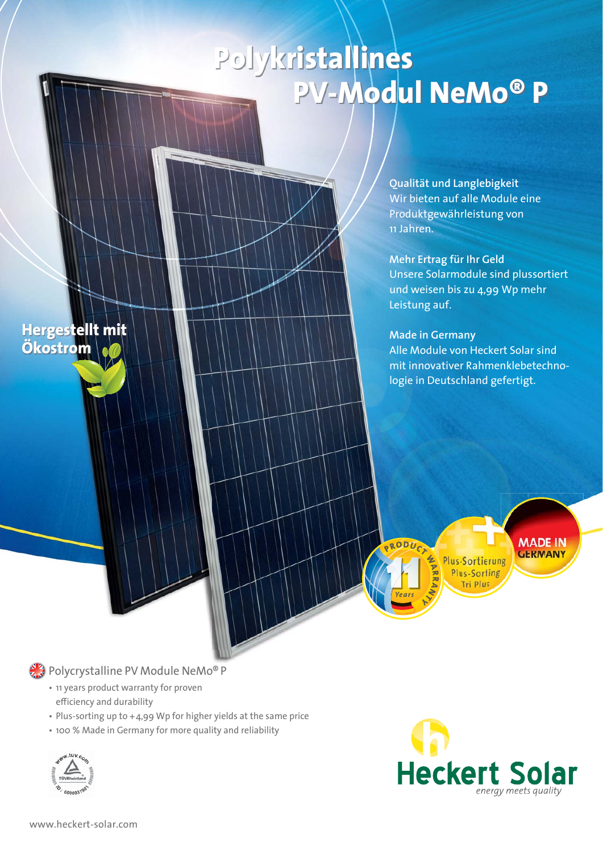## **Polykristallines PV-Modul NeMo® P**

**Qualität und Langlebigkeit** Wir bieten auf alle Module eine Produktgewährleistung von 11 Jahren.

**Mehr Ertrag für Ihr Geld** Unsere Solarmodule sind plussortiert und weisen bis zu 4,99 Wp mehr Leistung auf.

## **Made in Germany**

PRODUC

Alle Module von Heckert Solar sind mit innovativer Rahmenklebetechnologie in Deutschland gefertigt.

> **MADE IN GERMANY** Plus-Sortierung Plus-Sorting

Tri Plus

**ALA** Polycrystalline PV Module NeMo® P

- 11 years product warranty for proven efficiency and durability
- Plus-sorting up to  $+4.99$  Wp for higher yields at the same price
- 100 % Made in Germany for more quality and reliability



**Hergestellt mit** 

**Ökostrom**